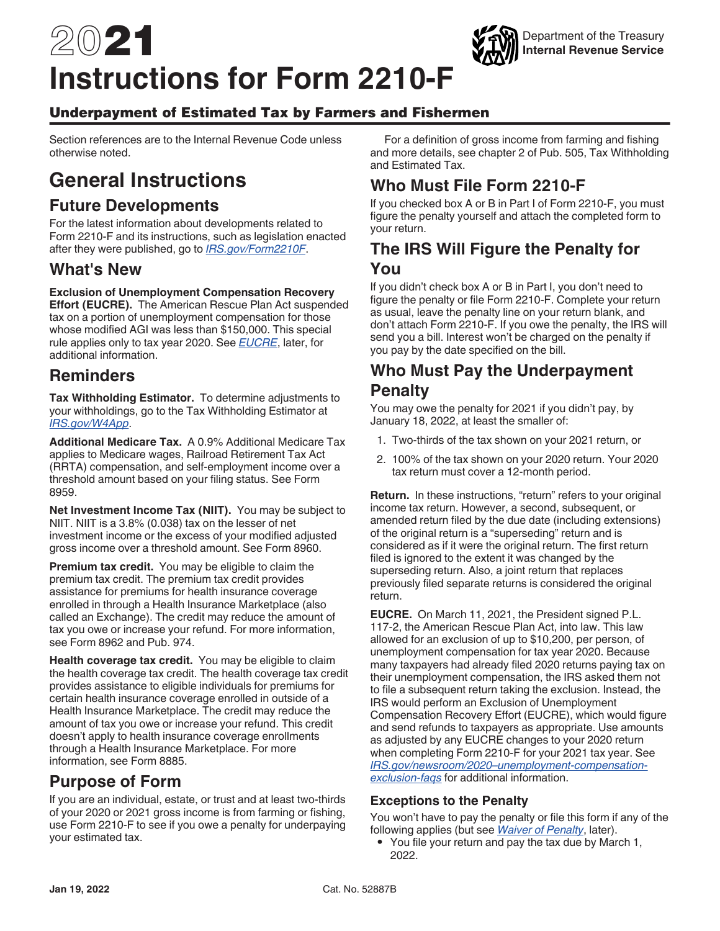# <span id="page-0-0"></span>2021 **Instructions for Form 2210-F**

#### Underpayment of Estimated Tax by Farmers and Fishermen

Section references are to the Internal Revenue Code unless otherwise noted.

## **General Instructions**

#### **Future Developments**

For the latest information about developments related to Form 2210-F and its instructions, such as legislation enacted after they were published, go to *[IRS.gov/Form2210F](https://www.irs.gov/form2210f)*.

#### **What's New**

#### **Exclusion of Unemployment Compensation Recovery**

**Effort (EUCRE).** The American Rescue Plan Act suspended tax on a portion of unemployment compensation for those whose modified AGI was less than \$150,000. This special rule applies only to tax year 2020. See *EUCRE*, later, for additional information.

#### **Reminders**

**Tax Withholding Estimator.** To determine adjustments to your withholdings, go to the Tax Withholding Estimator at *[IRS.gov/W4App](https://www.irs.gov/individuals/tax-withholding-estimator)*.

**Additional Medicare Tax.** A 0.9% Additional Medicare Tax applies to Medicare wages, Railroad Retirement Tax Act (RRTA) compensation, and self-employment income over a threshold amount based on your filing status. See Form 8959.

**Net Investment Income Tax (NIIT).** You may be subject to NIIT. NIIT is a 3.8% (0.038) tax on the lesser of net investment income or the excess of your modified adjusted gross income over a threshold amount. See Form 8960.

**Premium tax credit.** You may be eligible to claim the premium tax credit. The premium tax credit provides assistance for premiums for health insurance coverage enrolled in through a Health Insurance Marketplace (also called an Exchange). The credit may reduce the amount of tax you owe or increase your refund. For more information, see Form 8962 and Pub. 974.

**Health coverage tax credit.** You may be eligible to claim the health coverage tax credit. The health coverage tax credit provides assistance to eligible individuals for premiums for certain health insurance coverage enrolled in outside of a Health Insurance Marketplace. The credit may reduce the amount of tax you owe or increase your refund. This credit doesn't apply to health insurance coverage enrollments through a Health Insurance Marketplace. For more information, see Form 8885.

## **Purpose of Form**

If you are an individual, estate, or trust and at least two-thirds of your 2020 or 2021 gross income is from farming or fishing, use Form 2210-F to see if you owe a penalty for underpaying your estimated tax.

For a definition of gross income from farming and fishing and more details, see chapter 2 of Pub. 505, Tax Withholding and Estimated Tax.

Department of the Treasury **Internal Revenue Service**

## **Who Must File Form 2210-F**

If you checked box A or B in Part I of Form 2210-F, you must figure the penalty yourself and attach the completed form to your return.

#### **The IRS Will Figure the Penalty for You**

If you didn't check box A or B in Part I, you don't need to figure the penalty or file Form 2210-F. Complete your return as usual, leave the penalty line on your return blank, and don't attach Form 2210-F. If you owe the penalty, the IRS will send you a bill. Interest won't be charged on the penalty if you pay by the date specified on the bill.

### **Who Must Pay the Underpayment Penalty**

You may owe the penalty for 2021 if you didn't pay, by January 18, 2022, at least the smaller of:

- 1. Two-thirds of the tax shown on your 2021 return, or
- 2. 100% of the tax shown on your 2020 return. Your 2020 tax return must cover a 12-month period.

**Return.** In these instructions, "return" refers to your original income tax return. However, a second, subsequent, or amended return filed by the due date (including extensions) of the original return is a "superseding" return and is considered as if it were the original return. The first return filed is ignored to the extent it was changed by the superseding return. Also, a joint return that replaces previously filed separate returns is considered the original return.

**EUCRE.** On March 11, 2021, the President signed P.L. 117-2, the American Rescue Plan Act, into law. This law allowed for an exclusion of up to \$10,200, per person, of unemployment compensation for tax year 2020. Because many taxpayers had already filed 2020 returns paying tax on their unemployment compensation, the IRS asked them not to file a subsequent return taking the exclusion. Instead, the IRS would perform an Exclusion of Unemployment Compensation Recovery Effort (EUCRE), which would figure and send refunds to taxpayers as appropriate. Use amounts as adjusted by any EUCRE changes to your 2020 return when completing Form 2210-F for your 2021 tax year. See *[IRS.gov/newsroom/2020–unemployment-compensation](https://www.irs.gov/newsroom/2020-unemployment-compensation-exclusion-faqs)[exclusion-faqs](https://www.irs.gov/newsroom/2020-unemployment-compensation-exclusion-faqs)* for additional information.

#### **Exceptions to the Penalty**

You won't have to pay the penalty or file this form if any of the following applies (but see *[Waiver of Penalty](#page-1-0)*, later).

• You file your return and pay the tax due by March 1, 2022.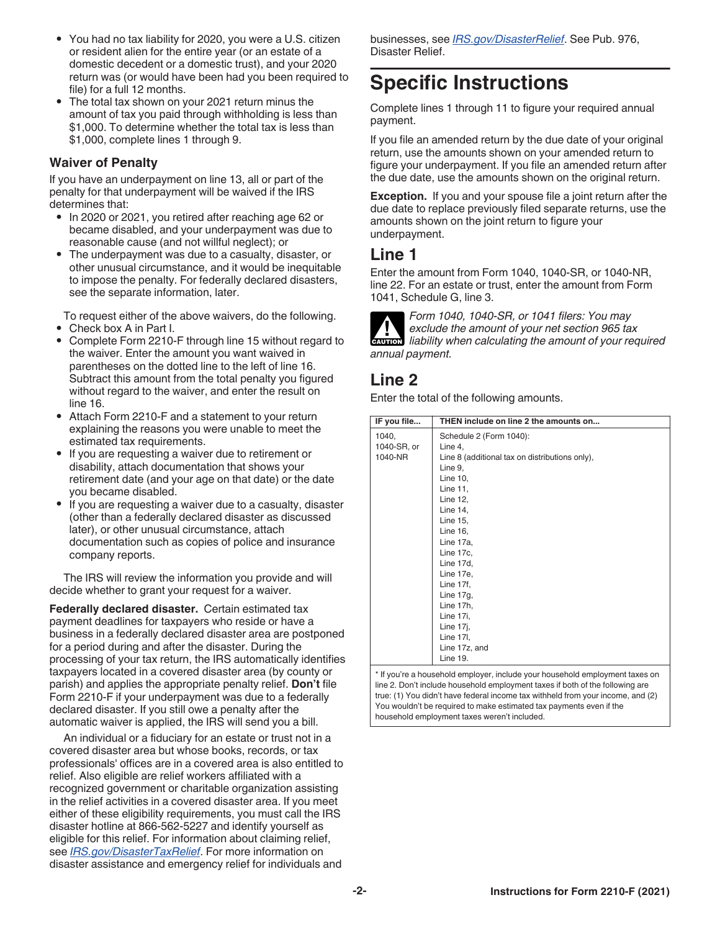- <span id="page-1-0"></span>• You had no tax liability for 2020, you were a U.S. citizen or resident alien for the entire year (or an estate of a domestic decedent or a domestic trust), and your 2020 return was (or would have been had you been required to file) for a full 12 months.
- The total tax shown on your 2021 return minus the amount of tax you paid through withholding is less than \$1,000. To determine whether the total tax is less than \$1,000, complete lines 1 through 9.

#### **Waiver of Penalty**

If you have an underpayment on line 13, all or part of the penalty for that underpayment will be waived if the IRS determines that:

- In 2020 or 2021, you retired after reaching age 62 or became disabled, and your underpayment was due to reasonable cause (and not willful neglect); or
- The underpayment was due to a casualty, disaster, or other unusual circumstance, and it would be inequitable to impose the penalty. For federally declared disasters, see the separate information, later.

To request either of the above waivers, do the following.

- Check box A in Part I.<br>• Complete Form 2210-
- Complete Form 2210-F through line 15 without regard to the waiver. Enter the amount you want waived in parentheses on the dotted line to the left of line 16. Subtract this amount from the total penalty you figured without regard to the waiver, and enter the result on line 16.
- Attach Form 2210-F and a statement to your return explaining the reasons you were unable to meet the estimated tax requirements.
- If you are requesting a waiver due to retirement or disability, attach documentation that shows your retirement date (and your age on that date) or the date you became disabled.
- If you are requesting a waiver due to a casualty, disaster (other than a federally declared disaster as discussed later), or other unusual circumstance, attach documentation such as copies of police and insurance company reports.

The IRS will review the information you provide and will decide whether to grant your request for a waiver.

**Federally declared disaster.** Certain estimated tax payment deadlines for taxpayers who reside or have a business in a federally declared disaster area are postponed for a period during and after the disaster. During the processing of your tax return, the IRS automatically identifies taxpayers located in a covered disaster area (by county or parish) and applies the appropriate penalty relief. **Don't** file Form 2210-F if your underpayment was due to a federally declared disaster. If you still owe a penalty after the automatic waiver is applied, the IRS will send you a bill.

An individual or a fiduciary for an estate or trust not in a covered disaster area but whose books, records, or tax professionals' offices are in a covered area is also entitled to relief. Also eligible are relief workers affiliated with a recognized government or charitable organization assisting in the relief activities in a covered disaster area. If you meet either of these eligibility requirements, you must call the IRS disaster hotline at 866-562-5227 and identify yourself as eligible for this relief. For information about claiming relief, see *[IRS.gov/DisasterTaxRelief](https://www.irs.gov/newsroom/tax-relief-in-disaster-situations)*. For more information on disaster assistance and emergency relief for individuals and

businesses, see *[IRS.gov/DisasterRelief](https://www.irs.gov/businesses/small-businesses-self-employed/disaster-assistance-and-emergency-relief-for-individuals-and-businesses)*. See Pub. 976, Disaster Relief.

# **Specific Instructions**

Complete lines 1 through 11 to figure your required annual payment.

If you file an amended return by the due date of your original return, use the amounts shown on your amended return to figure your underpayment. If you file an amended return after the due date, use the amounts shown on the original return.

**Exception.** If you and your spouse file a joint return after the due date to replace previously filed separate returns, use the amounts shown on the joint return to figure your underpayment.

#### **Line 1**

Enter the amount from Form 1040, 1040-SR, or 1040-NR, line 22. For an estate or trust, enter the amount from Form 1041, Schedule G, line 3.



*Form 1040, 1040-SR, or 1041 filers: You may exclude the amount of your net section 965 tax*  **li**ability when calculating the amount of your required *annual payment.*

## **Line 2**

Enter the total of the following amounts.

| IF you file | THEN include on line 2 the amounts on          |
|-------------|------------------------------------------------|
| 1040,       | Schedule 2 (Form 1040):                        |
| 1040-SR, or | Line 4,                                        |
| 1040-NR     | Line 8 (additional tax on distributions only), |
|             | Line 9,                                        |
|             | Line 10,                                       |
|             | Line 11,                                       |
|             | Line 12,                                       |
|             | Line 14,                                       |
|             | Line 15,                                       |
|             | Line 16,                                       |
|             | Line 17a,                                      |
|             | Line 17c,                                      |
|             | Line 17d,                                      |
|             | Line 17e,                                      |
|             | Line 17f,                                      |
|             | Line 17g,                                      |
|             | Line 17h,                                      |
|             | Line 17i,                                      |
|             | Line 17j,                                      |
|             | Line 17I,                                      |
|             | Line 17z, and                                  |
|             | Line 19.                                       |

\* If you're a household employer, include your household employment taxes on line 2. Don't include household employment taxes if both of the following are true: (1) You didn't have federal income tax withheld from your income, and (2) You wouldn't be required to make estimated tax payments even if the household employment taxes weren't included.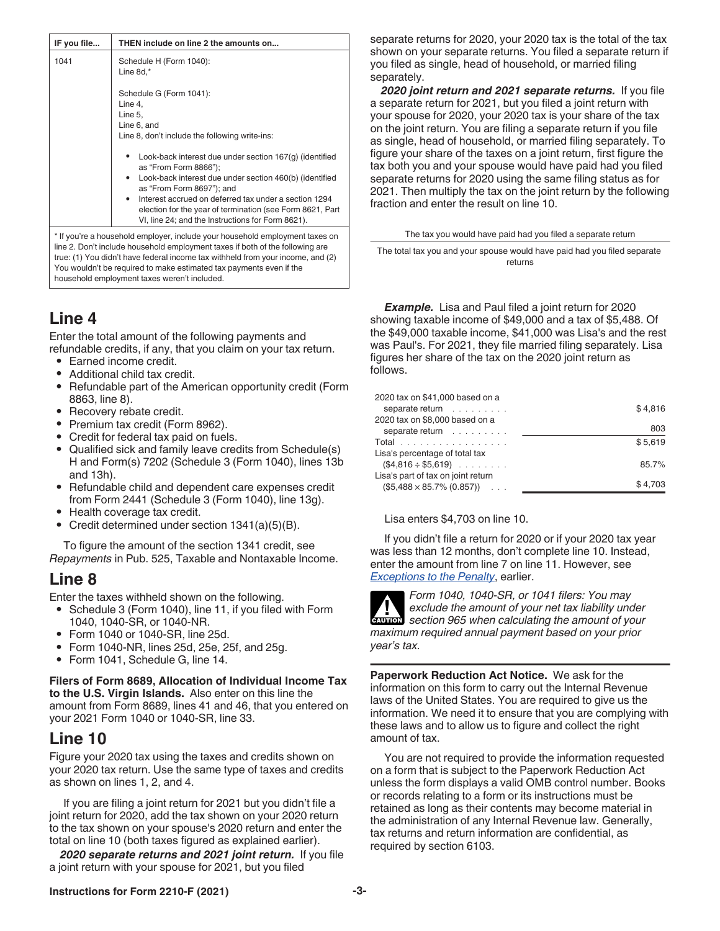| IF you file | THEN include on line 2 the amounts on                                                                                                                                                                                                                                                                                                                                   |  |
|-------------|-------------------------------------------------------------------------------------------------------------------------------------------------------------------------------------------------------------------------------------------------------------------------------------------------------------------------------------------------------------------------|--|
| 1041        | Schedule H (Form 1040):<br>Line 8d,*                                                                                                                                                                                                                                                                                                                                    |  |
|             | Schedule G (Form 1041):<br>Line 4,<br>Line 5,                                                                                                                                                                                                                                                                                                                           |  |
|             | Line 6, and<br>Line 8, don't include the following write-ins:                                                                                                                                                                                                                                                                                                           |  |
|             | Look-back interest due under section 167(g) (identified<br>as "From Form 8866");<br>Look-back interest due under section 460(b) (identified<br>as "From Form 8697"); and                                                                                                                                                                                                |  |
|             | Interest accrued on deferred tax under a section 1294<br>election for the year of termination (see Form 8621, Part<br>VI, line 24; and the Instructions for Form 8621).                                                                                                                                                                                                 |  |
|             | * If you're a household employer, include your household employment taxes on<br>line 2. Don't include household employment taxes if both of the following are<br>true: (1) You didn't have federal income tax withheld from your income, and (2)<br>You wouldn't be required to make estimated tax payments even if the<br>household employment taxes weren't included. |  |

## **Line 4**

Enter the total amount of the following payments and refundable credits, if any, that you claim on your tax return.

- Earned income credit.
- Additional child tax credit.
- Refundable part of the American opportunity credit (Form 8863, line 8).
- Recovery rebate credit.
- Premium tax credit (Form 8962).
- Credit for federal tax paid on fuels.
- Qualified sick and family leave credits from Schedule(s) H and Form(s) 7202 (Schedule 3 (Form 1040), lines 13b and 13h).
- Refundable child and dependent care expenses credit from Form 2441 (Schedule 3 (Form 1040), line 13g).
- Health coverage tax credit.
- Credit determined under section 1341(a)(5)(B).

To figure the amount of the section 1341 credit, see *Repayments* in Pub. 525, Taxable and Nontaxable Income.

#### **Line 8**

Enter the taxes withheld shown on the following.

- Schedule 3 (Form 1040), line 11, if you filed with Form 1040, 1040-SR, or 1040-NR.
- Form 1040 or 1040-SR, line 25d.
- Form 1040-NR, lines 25d, 25e, 25f, and 25g.
- Form 1041, Schedule G, line 14.

**Filers of Form 8689, Allocation of Individual Income Tax to the U.S. Virgin Islands.** Also enter on this line the amount from Form 8689, lines 41 and 46, that you entered on your 2021 Form 1040 or 1040-SR, line 33.

#### **Line 10**

Figure your 2020 tax using the taxes and credits shown on your 2020 tax return. Use the same type of taxes and credits as shown on lines 1, 2, and 4.

If you are filing a joint return for 2021 but you didn't file a joint return for 2020, add the tax shown on your 2020 return to the tax shown on your spouse's 2020 return and enter the total on line 10 (both taxes figured as explained earlier).

*2020 separate returns and 2021 joint return.* If you file a joint return with your spouse for 2021, but you filed

separate returns for 2020, your 2020 tax is the total of the tax shown on your separate returns. You filed a separate return if you filed as single, head of household, or married filing separately.

*2020 joint return and 2021 separate returns.* If you file a separate return for 2021, but you filed a joint return with your spouse for 2020, your 2020 tax is your share of the tax on the joint return. You are filing a separate return if you file as single, head of household, or married filing separately. To figure your share of the taxes on a joint return, first figure the tax both you and your spouse would have paid had you filed separate returns for 2020 using the same filing status as for 2021. Then multiply the tax on the joint return by the following fraction and enter the result on line 10.

The tax you would have paid had you filed a separate return

The total tax you and your spouse would have paid had you filed separate returns

*Example.* Lisa and Paul filed a joint return for 2020 showing taxable income of \$49,000 and a tax of \$5,488. Of the \$49,000 taxable income, \$41,000 was Lisa's and the rest was Paul's. For 2021, they file married filing separately. Lisa figures her share of the tax on the 2020 joint return as follows.

| 2020 tax on \$41,000 based on a    |         |
|------------------------------------|---------|
| separate return                    | \$4.816 |
| 2020 tax on \$8,000 based on a     |         |
| separate return                    | 803     |
| Total                              | \$5.619 |
| Lisa's percentage of total tax     |         |
| $(\$4,816 \div \$5,619)$           | 85.7%   |
| Lisa's part of tax on joint return |         |
| $($5,488 \times 85.7\% (0.857))$   | \$4.703 |
|                                    |         |

Lisa enters \$4,703 on line 10.

If you didn't file a return for 2020 or if your 2020 tax year was less than 12 months, don't complete line 10. Instead, enter the amount from line 7 on line 11. However, see *[Exceptions to the Penalty](#page-0-0)*, earlier.

*Form 1040, 1040-SR, or 1041 filers: You may exclude the amount of your net tax liability under*  **exclude the amount of your net tax liability under<br>
<b>CAUTION** section 965 when calculating the amount of your *maximum required annual payment based on your prior year's tax.*

**Paperwork Reduction Act Notice.** We ask for the information on this form to carry out the Internal Revenue laws of the United States. You are required to give us the information. We need it to ensure that you are complying with these laws and to allow us to figure and collect the right amount of tax.

You are not required to provide the information requested on a form that is subject to the Paperwork Reduction Act unless the form displays a valid OMB control number. Books or records relating to a form or its instructions must be retained as long as their contents may become material in the administration of any Internal Revenue law. Generally, tax returns and return information are confidential, as required by section 6103.